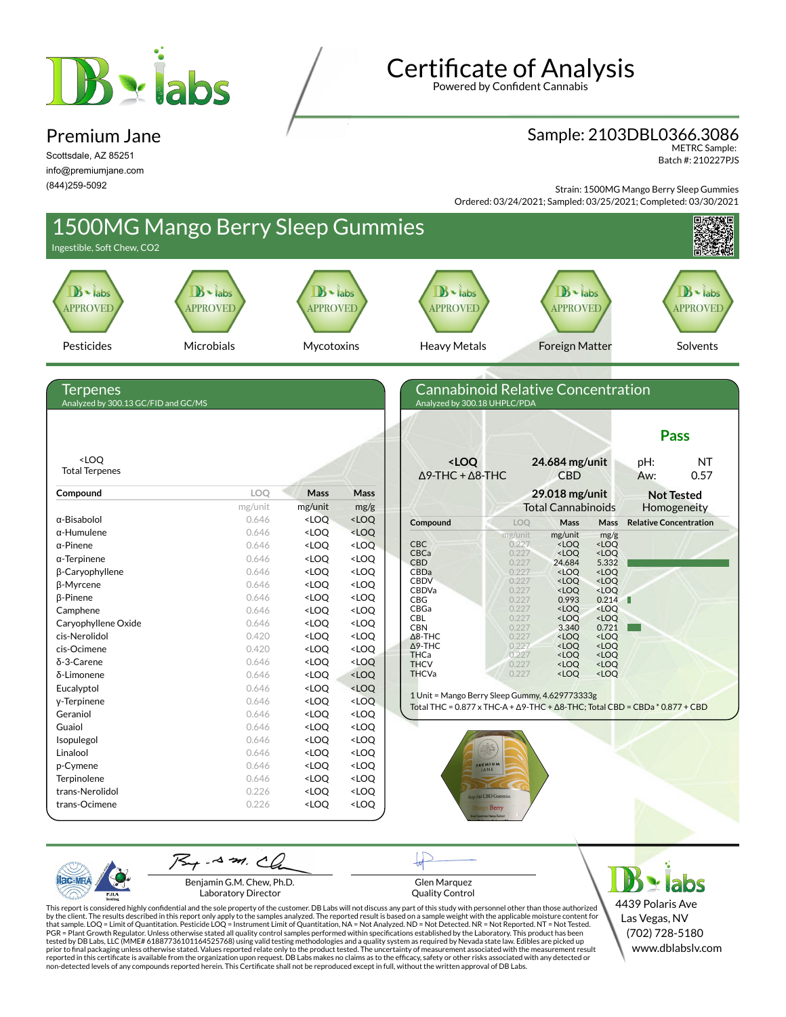# Balabs

### Premium Jane

Scottsdale, AZ 85251 info@premiumjane.com (844)259-5092

# **Certificate of Analysis**

Powered by Confident Cannabis

#### Sample: 2103DBL0366.3086

METRC Sample: Batch #: 210227PJS

Strain: 1500MG Mango Berry Sleep Gummies Ordered: 03/24/2021; Sampled: 03/25/2021; Completed: 03/30/2021



PJL/

Glen Marquez Quality Control

**Y** labs 4439 Polaris Ave Las Vegas, NV (702) 728-5180 www.dblabslv.com

This report is considered highly confidential and the sole property of the customer. DB Labs will not discuss any part of this study with personnel other than those authorized<br>by the client. The results described in this r tested by DB Labs, LLC (MME# 61887736101164525768) using valid testing methodologies and a quality system as required by Nevada state law. Edibles are picked up<br>prior to final packaging unless otherwise stated. Values repo reported in this certificate is available from the organization upon request. DB Labs makes no claims as to the efficacy, safety or other risks associated with any detected or<br>non-detected levels of any compounds reported

Benjamin G.M. Chew, Ph.D. Laboratory Director